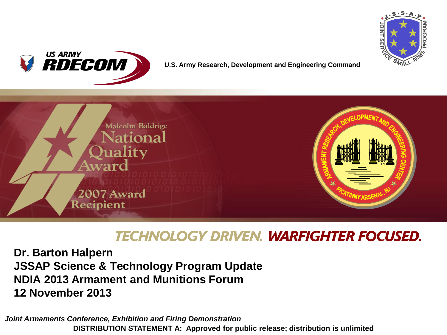



#### **U.S. Army Research, Development and Engineering Command**



## **TECHNOLOGY DRIVEN. WARFIGHTER FOCUSED.**

**Dr. Barton Halpern JSSAP Science & Technology Program Update NDIA 2013 Armament and Munitions Forum 12 November 2013**

*Joint Armaments Conference, Exhibition and Firing Demonstration* **DISTRIBUTION STATEMENT A: Approved for public release; distribution is unlimited**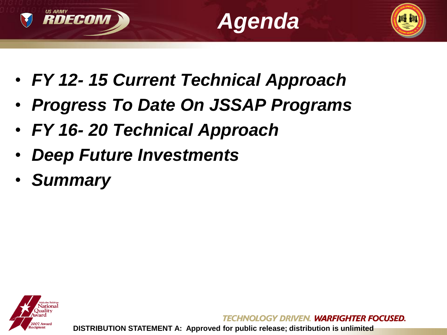





- *FY 12- 15 Current Technical Approach*
- *Progress To Date On JSSAP Programs*
- *FY 16- 20 Technical Approach*
- *Deep Future Investments*
- *Summary*



OLOGY DRIVEN. WARFIGHTER FOCUSED.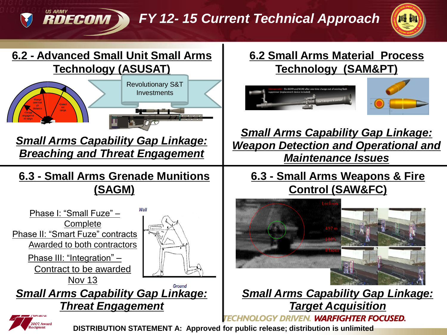*FY 12- 15 Current Technical Approach* 





**RDECOM** 

### **6.2 Small Arms Material Process Technology (SAM&PT)**



*Small Arms Capability Gap Linkage: Weapon Detection and Operational and Maintenance Issues* 

### **6.3 - Small Arms Weapons & Fire Control (SAW&FC)**



*Small Arms Capability Gap Linkage: Target Acquisition* **HNOLOGY DRIVEN. WARFIGHTER FOCUSED.** 

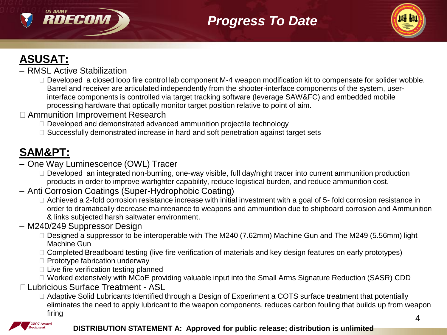

# *Progress To Date*



## **ASUSAT:**

- RMSL Active Stabilization
	- $\Box$  Developed a closed loop fire control lab component M-4 weapon modification kit to compensate for solider wobble. Barrel and receiver are articulated independently from the shooter-interface components of the system, userinterface components is controlled via target tracking software (leverage SAW&FC) and embedded mobile processing hardware that optically monitor target position relative to point of aim.
- □ Ammunition Improvement Research
	- $\Box$  Developed and demonstrated advanced ammunition projectile technology
	- $\Box$  Successfully demonstrated increase in hard and soft penetration against target sets

## **SAM&PT:**

- One Way Luminescence (OWL) Tracer
	- $\Box$  Developed an integrated non-burning, one-way visible, full day/night tracer into current ammunition production products in order to improve warfighter capability, reduce logistical burden, and reduce ammunition cost.
- Anti Corrosion Coatings (Super-Hydrophobic Coating)
	- $\Box$  Achieved a 2-fold corrosion resistance increase with initial investment with a goal of 5- fold corrosion resistance in order to dramatically decrease maintenance to weapons and ammunition due to shipboard corrosion and Ammunition & links subjected harsh saltwater environment.
- M240/249 Suppressor Design
	- □ Designed a suppressor to be interoperable with The M240 (7.62mm) Machine Gun and The M249 (5.56mm) light Machine Gun
	- □ Completed Breadboard testing (live fire verification of materials and key design features on early prototypes)
	- □ Prototype fabrication underway
	- $\Box$  Live fire verification testing planned
	- □ Worked extensively with MCoE providing valuable input into the Small Arms Signature Reduction (SASR) CDD
- ˗ Lubricious Surface Treatment ASL
	- □ Adaptive Solid Lubricants Identified through a Design of Experiment a COTS surface treatment that potentially eliminates the need to apply lubricant to the weapon components, reduces carbon fouling that builds up from weapon firing the contract of the contract of the contract of the contract of the contract of the contract of the contract of the contract of the contract of the contract of the contract of the contract of the contract of the con

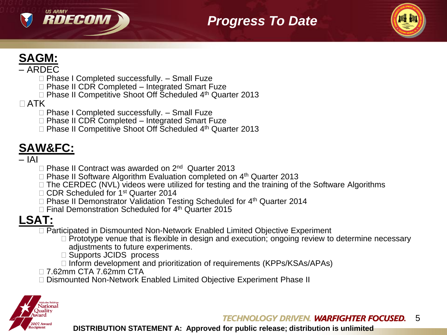

## *Progress To Date*

## **SAGM:**

#### – ARDEC

- ˗ Phase I Completed successfully. Small Fuze
- $\Box$  Phase II CDR Completed Integrated Smart Fuze
- $\Box$  Phase II Competitive Shoot Off Scheduled 4<sup>th</sup> Quarter 2013

### $\Box$ ATK

- □ Phase I Completed successfully. Small Fuze
- □ Phase II CDR Completed Integrated Smart Fuze
- $\Box$  Phase II Competitive Shoot Off Scheduled  $4<sup>th</sup>$  Quarter 2013

# **SAW&FC:**

#### – IAI

- □ Phase II Contract was awarded on 2<sup>nd</sup> Quarter 2013
- $\Box$  Phase II Software Algorithm Evaluation completed on  $4<sup>th</sup>$  Quarter 2013
- □ The CERDEC (NVL) videos were utilized for testing and the training of the Software Algorithms
- □ CDR Scheduled for 1<sup>st</sup> Quarter 2014
- □ Phase II Demonstrator Validation Testing Scheduled for 4<sup>th</sup> Quarter 2014
- $\Box$  Final Demonstration Scheduled for 4<sup>th</sup> Quarter 2015

## **LSAT:**

- □ Participated in Dismounted Non-Network Enabled Limited Objective Experiment
	- □ Prototype venue that is flexible in design and execution; ongoing review to determine necessary adjustments to future experiments.
	- □ Supports JCIDS process
	- □ Inform development and prioritization of requirements (KPPs/KSAs/APAs)
- □ 7.62mm CTA 7.62mm CTA
- □ Dismounted Non-Network Enabled Limited Objective Experiment Phase II

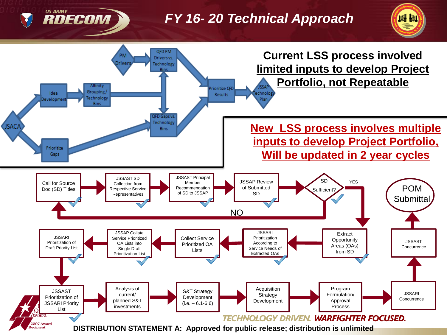## *FY 16- 20 Technical Approach*





**US ARMY** 

RDECOM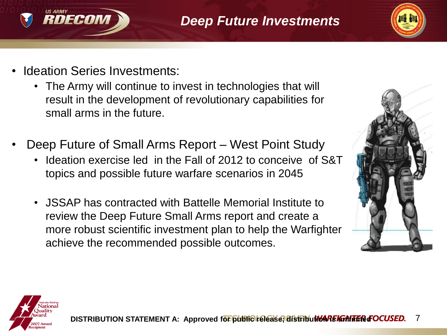



**Ideation Series Investments:** 

RDECOM

- The Army will continue to invest in technologies that will result in the development of revolutionary capabilities for small arms in the future.
- Deep Future of Small Arms Report West Point Study
	- Ideation exercise led in the Fall of 2012 to conceive of S&T topics and possible future warfare scenarios in 2045
	- JSSAP has contracted with Battelle Memorial Institute to review the Deep Future Small Arms report and create a more robust scientific investment plan to help the Warfighter achieve the recommended possible outcomes.